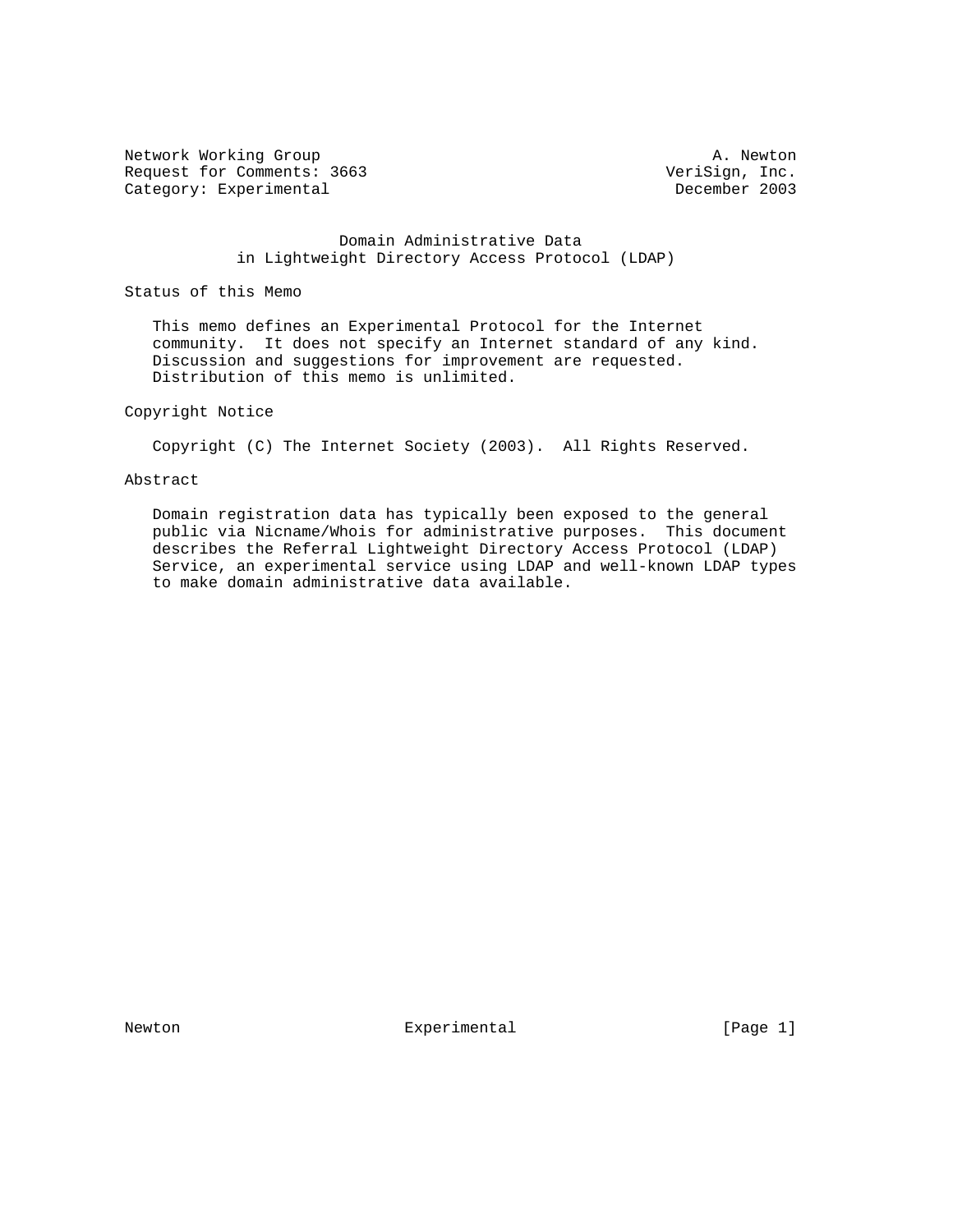Network Working Group and the set of the set of the set of the A. Newton Request for Comments: 3663 VeriSign, Inc.<br>
Category: Experimental December 2003 Category: Experimental

 Domain Administrative Data in Lightweight Directory Access Protocol (LDAP)

Status of this Memo

 This memo defines an Experimental Protocol for the Internet community. It does not specify an Internet standard of any kind. Discussion and suggestions for improvement are requested. Distribution of this memo is unlimited.

# Copyright Notice

Copyright (C) The Internet Society (2003). All Rights Reserved.

#### Abstract

 Domain registration data has typically been exposed to the general public via Nicname/Whois for administrative purposes. This document describes the Referral Lightweight Directory Access Protocol (LDAP) Service, an experimental service using LDAP and well-known LDAP types to make domain administrative data available.

Newton **Experimental** Experimental [Page 1]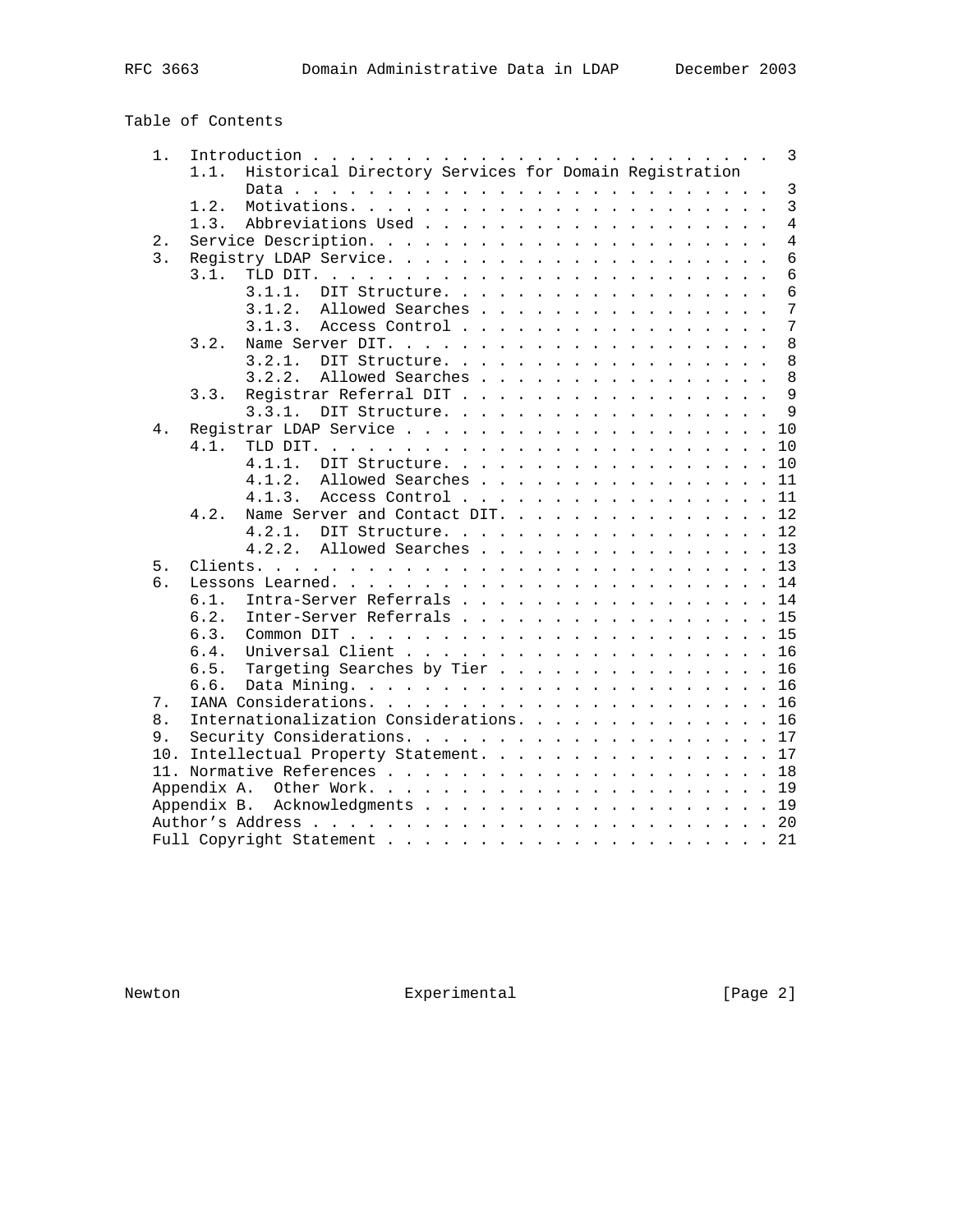Table of Contents

| $1$ .            | 1.1.        | Historical Directory Services for Domain Registration |  |  |  |  |  |  |  |  |  |                 |
|------------------|-------------|-------------------------------------------------------|--|--|--|--|--|--|--|--|--|-----------------|
|                  |             |                                                       |  |  |  |  |  |  |  |  |  | $\overline{3}$  |
|                  | 1.2.        |                                                       |  |  |  |  |  |  |  |  |  | $\overline{3}$  |
|                  | 1.3.        |                                                       |  |  |  |  |  |  |  |  |  | $\overline{4}$  |
| 2.               |             |                                                       |  |  |  |  |  |  |  |  |  | $\overline{4}$  |
| $\overline{3}$ . |             |                                                       |  |  |  |  |  |  |  |  |  | $\epsilon$      |
|                  | 3.1.        |                                                       |  |  |  |  |  |  |  |  |  | 6               |
|                  |             | 3.1.1.<br>DIT Structure.                              |  |  |  |  |  |  |  |  |  | 6               |
|                  |             | 3.1.2.<br>Allowed Searches                            |  |  |  |  |  |  |  |  |  | $7\phantom{.0}$ |
|                  |             | 3.1.3.                                                |  |  |  |  |  |  |  |  |  | $7\phantom{.0}$ |
|                  |             | Access Control                                        |  |  |  |  |  |  |  |  |  |                 |
|                  | 3.2.        |                                                       |  |  |  |  |  |  |  |  |  | 8               |
|                  |             | 3.2.1.<br>DIT Structure.                              |  |  |  |  |  |  |  |  |  | 8               |
|                  |             | Allowed Searches 8<br>3.2.2.                          |  |  |  |  |  |  |  |  |  |                 |
|                  | 3.3.        | Registrar Referral DIT 9                              |  |  |  |  |  |  |  |  |  |                 |
|                  |             | DIT Structure. 9<br>3.3.1.                            |  |  |  |  |  |  |  |  |  |                 |
| 4.               |             |                                                       |  |  |  |  |  |  |  |  |  |                 |
|                  | 4.1.        |                                                       |  |  |  |  |  |  |  |  |  |                 |
|                  |             | 4.1.1.<br>DIT Structure. 10                           |  |  |  |  |  |  |  |  |  |                 |
|                  |             | 4.1.2.<br>Allowed Searches 11                         |  |  |  |  |  |  |  |  |  |                 |
|                  |             | Access Control 11<br>4.1.3.                           |  |  |  |  |  |  |  |  |  |                 |
|                  | 4 2         | Name Server and Contact DIT. 12                       |  |  |  |  |  |  |  |  |  |                 |
|                  |             | DIT Structure. 12<br>4.2.1.                           |  |  |  |  |  |  |  |  |  |                 |
|                  |             | Allowed Searches 13<br>4.2.2.                         |  |  |  |  |  |  |  |  |  |                 |
| 5.               |             |                                                       |  |  |  |  |  |  |  |  |  |                 |
| б.               |             |                                                       |  |  |  |  |  |  |  |  |  |                 |
| $7$ .            | 6.1.        | Intra-Server Referrals 14                             |  |  |  |  |  |  |  |  |  |                 |
|                  | 6.2.        | Inter-Server Referrals 15                             |  |  |  |  |  |  |  |  |  |                 |
|                  | 6.3.        |                                                       |  |  |  |  |  |  |  |  |  |                 |
|                  | 6.4.        |                                                       |  |  |  |  |  |  |  |  |  |                 |
|                  |             | Targeting Searches by Tier 16                         |  |  |  |  |  |  |  |  |  |                 |
|                  | 6.5.        |                                                       |  |  |  |  |  |  |  |  |  |                 |
|                  | 6.6.        |                                                       |  |  |  |  |  |  |  |  |  |                 |
|                  |             |                                                       |  |  |  |  |  |  |  |  |  |                 |
| 8.               |             | Internationalization Considerations. 16               |  |  |  |  |  |  |  |  |  |                 |
| 9.               |             |                                                       |  |  |  |  |  |  |  |  |  |                 |
|                  |             | 10. Intellectual Property Statement. 17               |  |  |  |  |  |  |  |  |  |                 |
|                  |             |                                                       |  |  |  |  |  |  |  |  |  |                 |
|                  |             | Appendix A. Other Work19                              |  |  |  |  |  |  |  |  |  |                 |
|                  | Appendix B. | Acknowledgments 19                                    |  |  |  |  |  |  |  |  |  |                 |
|                  |             |                                                       |  |  |  |  |  |  |  |  |  |                 |
|                  |             |                                                       |  |  |  |  |  |  |  |  |  |                 |

Newton Experimental Experimental [Page 2]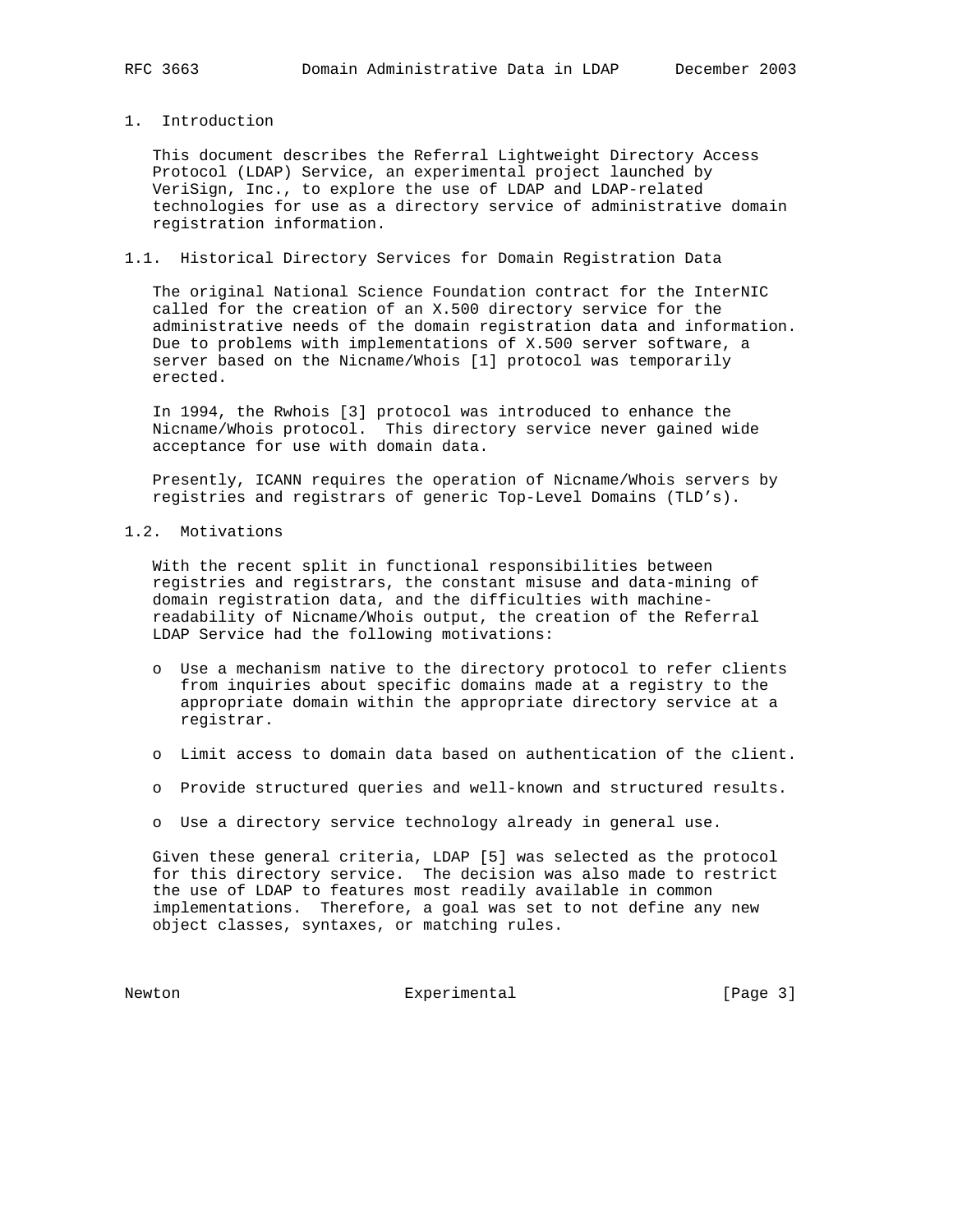#### 1. Introduction

 This document describes the Referral Lightweight Directory Access Protocol (LDAP) Service, an experimental project launched by VeriSign, Inc., to explore the use of LDAP and LDAP-related technologies for use as a directory service of administrative domain registration information.

### 1.1. Historical Directory Services for Domain Registration Data

 The original National Science Foundation contract for the InterNIC called for the creation of an X.500 directory service for the administrative needs of the domain registration data and information. Due to problems with implementations of X.500 server software, a server based on the Nicname/Whois [1] protocol was temporarily erected.

 In 1994, the Rwhois [3] protocol was introduced to enhance the Nicname/Whois protocol. This directory service never gained wide acceptance for use with domain data.

 Presently, ICANN requires the operation of Nicname/Whois servers by registries and registrars of generic Top-Level Domains (TLD's).

# 1.2. Motivations

 With the recent split in functional responsibilities between registries and registrars, the constant misuse and data-mining of domain registration data, and the difficulties with machine readability of Nicname/Whois output, the creation of the Referral LDAP Service had the following motivations:

- o Use a mechanism native to the directory protocol to refer clients from inquiries about specific domains made at a registry to the appropriate domain within the appropriate directory service at a registrar.
- o Limit access to domain data based on authentication of the client.
- o Provide structured queries and well-known and structured results.
- o Use a directory service technology already in general use.

 Given these general criteria, LDAP [5] was selected as the protocol for this directory service. The decision was also made to restrict the use of LDAP to features most readily available in common implementations. Therefore, a goal was set to not define any new object classes, syntaxes, or matching rules.

Newton Experimental Experimental [Page 3]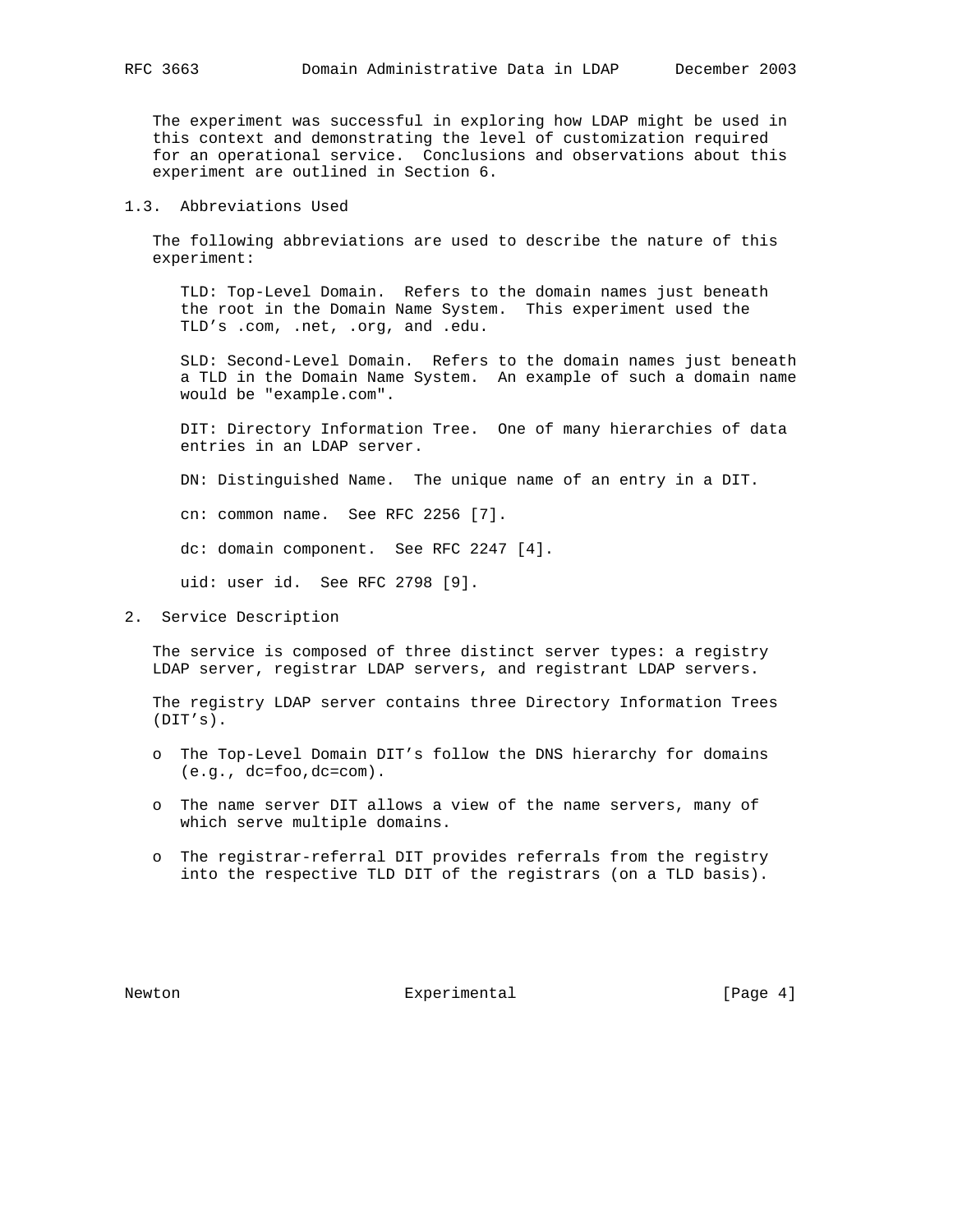The experiment was successful in exploring how LDAP might be used in this context and demonstrating the level of customization required for an operational service. Conclusions and observations about this experiment are outlined in Section 6.

# 1.3. Abbreviations Used

 The following abbreviations are used to describe the nature of this experiment:

 TLD: Top-Level Domain. Refers to the domain names just beneath the root in the Domain Name System. This experiment used the TLD's .com, .net, .org, and .edu.

 SLD: Second-Level Domain. Refers to the domain names just beneath a TLD in the Domain Name System. An example of such a domain name would be "example.com".

 DIT: Directory Information Tree. One of many hierarchies of data entries in an LDAP server.

DN: Distinguished Name. The unique name of an entry in a DIT.

cn: common name. See RFC 2256 [7].

dc: domain component. See RFC 2247 [4].

uid: user id. See RFC 2798 [9].

2. Service Description

 The service is composed of three distinct server types: a registry LDAP server, registrar LDAP servers, and registrant LDAP servers.

 The registry LDAP server contains three Directory Information Trees (DIT's).

- o The Top-Level Domain DIT's follow the DNS hierarchy for domains (e.g., dc=foo,dc=com).
- o The name server DIT allows a view of the name servers, many of which serve multiple domains.
- o The registrar-referral DIT provides referrals from the registry into the respective TLD DIT of the registrars (on a TLD basis).

Newton **Experimental** Experimental [Page 4]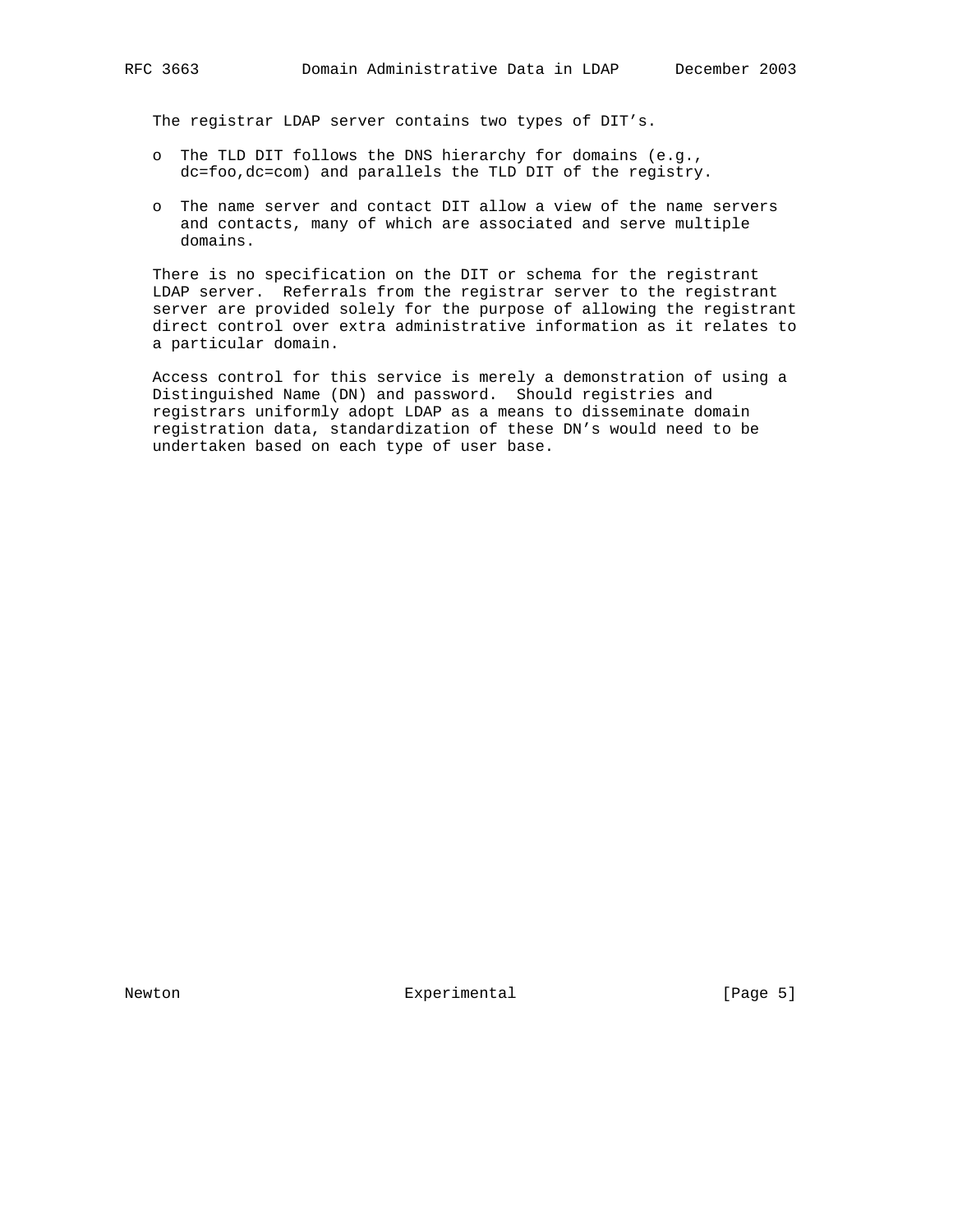The registrar LDAP server contains two types of DIT's.

- o The TLD DIT follows the DNS hierarchy for domains (e.g., dc=foo,dc=com) and parallels the TLD DIT of the registry.
- o The name server and contact DIT allow a view of the name servers and contacts, many of which are associated and serve multiple domains.

 There is no specification on the DIT or schema for the registrant LDAP server. Referrals from the registrar server to the registrant server are provided solely for the purpose of allowing the registrant direct control over extra administrative information as it relates to a particular domain.

 Access control for this service is merely a demonstration of using a Distinguished Name (DN) and password. Should registries and registrars uniformly adopt LDAP as a means to disseminate domain registration data, standardization of these DN's would need to be undertaken based on each type of user base.

Newton **Experimental** Experimental [Page 5]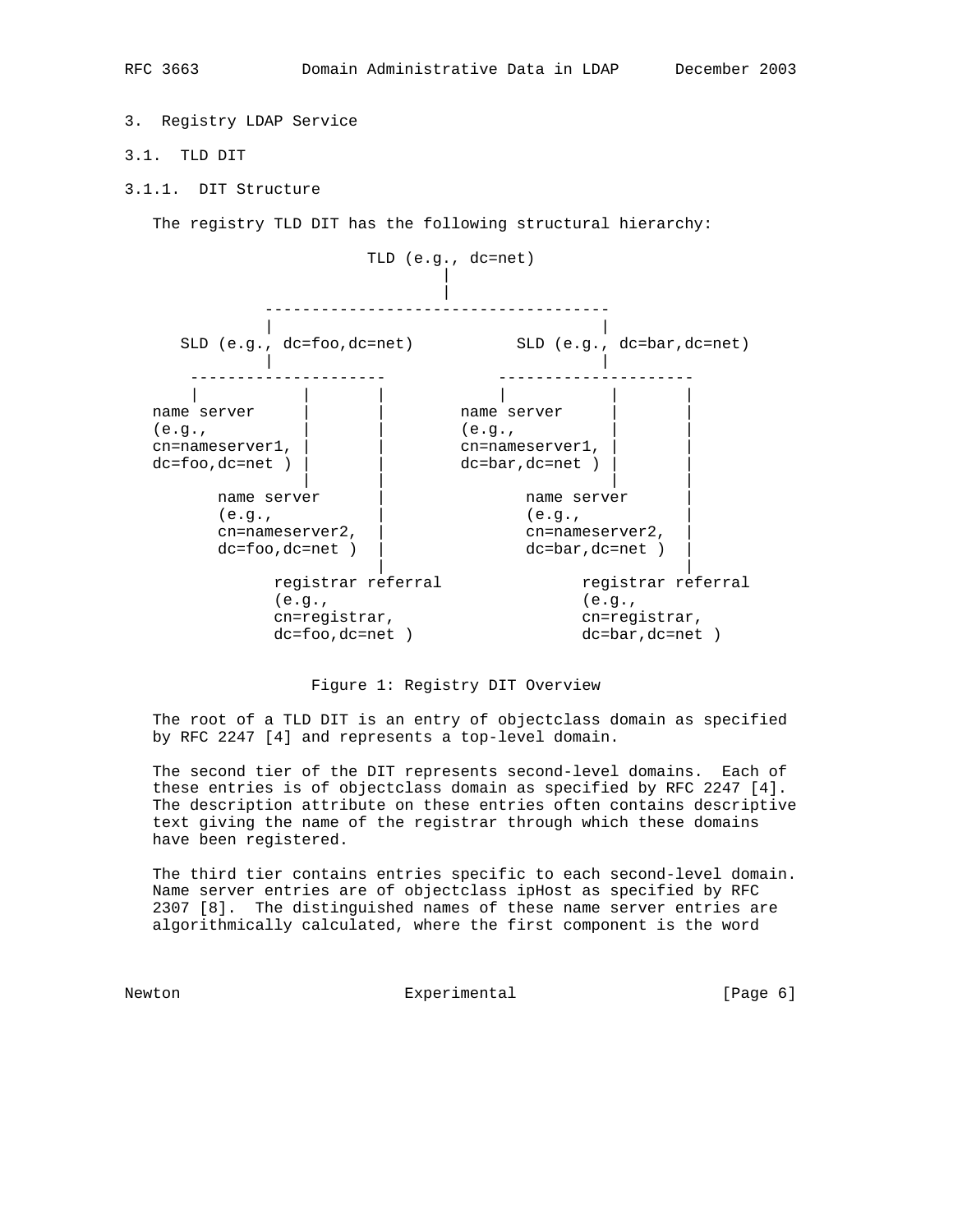3. Registry LDAP Service

- 3.1. TLD DIT
- 3.1.1. DIT Structure

The registry TLD DIT has the following structural hierarchy:



Figure 1: Registry DIT Overview

 The root of a TLD DIT is an entry of objectclass domain as specified by RFC 2247 [4] and represents a top-level domain.

 The second tier of the DIT represents second-level domains. Each of these entries is of objectclass domain as specified by RFC 2247 [4]. The description attribute on these entries often contains descriptive text giving the name of the registrar through which these domains have been registered.

 The third tier contains entries specific to each second-level domain. Name server entries are of objectclass ipHost as specified by RFC 2307 [8]. The distinguished names of these name server entries are algorithmically calculated, where the first component is the word

Newton Experimental Experimental [Page 6]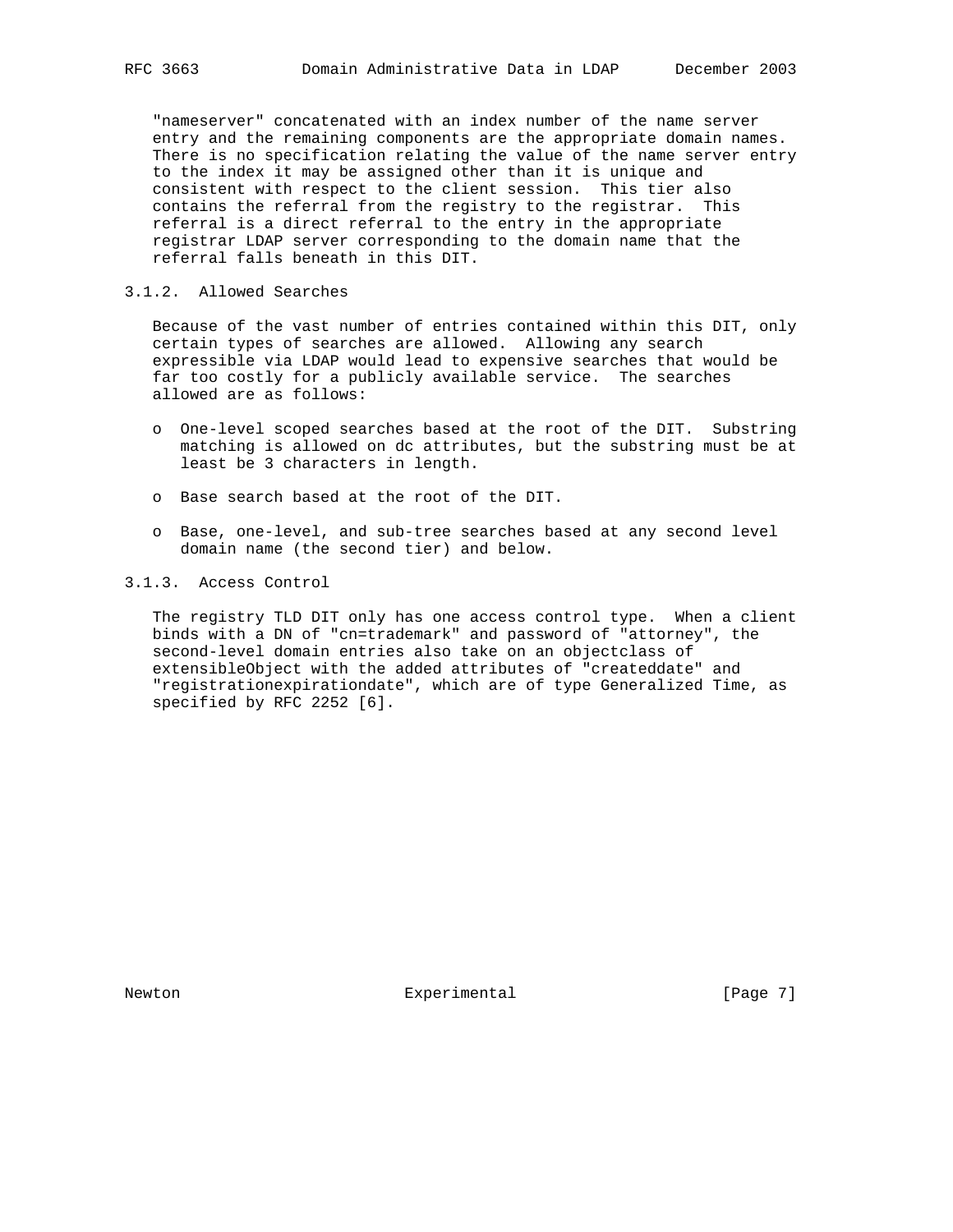"nameserver" concatenated with an index number of the name server entry and the remaining components are the appropriate domain names. There is no specification relating the value of the name server entry to the index it may be assigned other than it is unique and consistent with respect to the client session. This tier also contains the referral from the registry to the registrar. This referral is a direct referral to the entry in the appropriate registrar LDAP server corresponding to the domain name that the referral falls beneath in this DIT.

### 3.1.2. Allowed Searches

 Because of the vast number of entries contained within this DIT, only certain types of searches are allowed. Allowing any search expressible via LDAP would lead to expensive searches that would be far too costly for a publicly available service. The searches allowed are as follows:

- o One-level scoped searches based at the root of the DIT. Substring matching is allowed on dc attributes, but the substring must be at least be 3 characters in length.
- o Base search based at the root of the DIT.
- o Base, one-level, and sub-tree searches based at any second level domain name (the second tier) and below.

#### 3.1.3. Access Control

 The registry TLD DIT only has one access control type. When a client binds with a DN of "cn=trademark" and password of "attorney", the second-level domain entries also take on an objectclass of extensibleObject with the added attributes of "createddate" and "registrationexpirationdate", which are of type Generalized Time, as specified by RFC 2252 [6].

Newton **Experimental** Experimental [Page 7]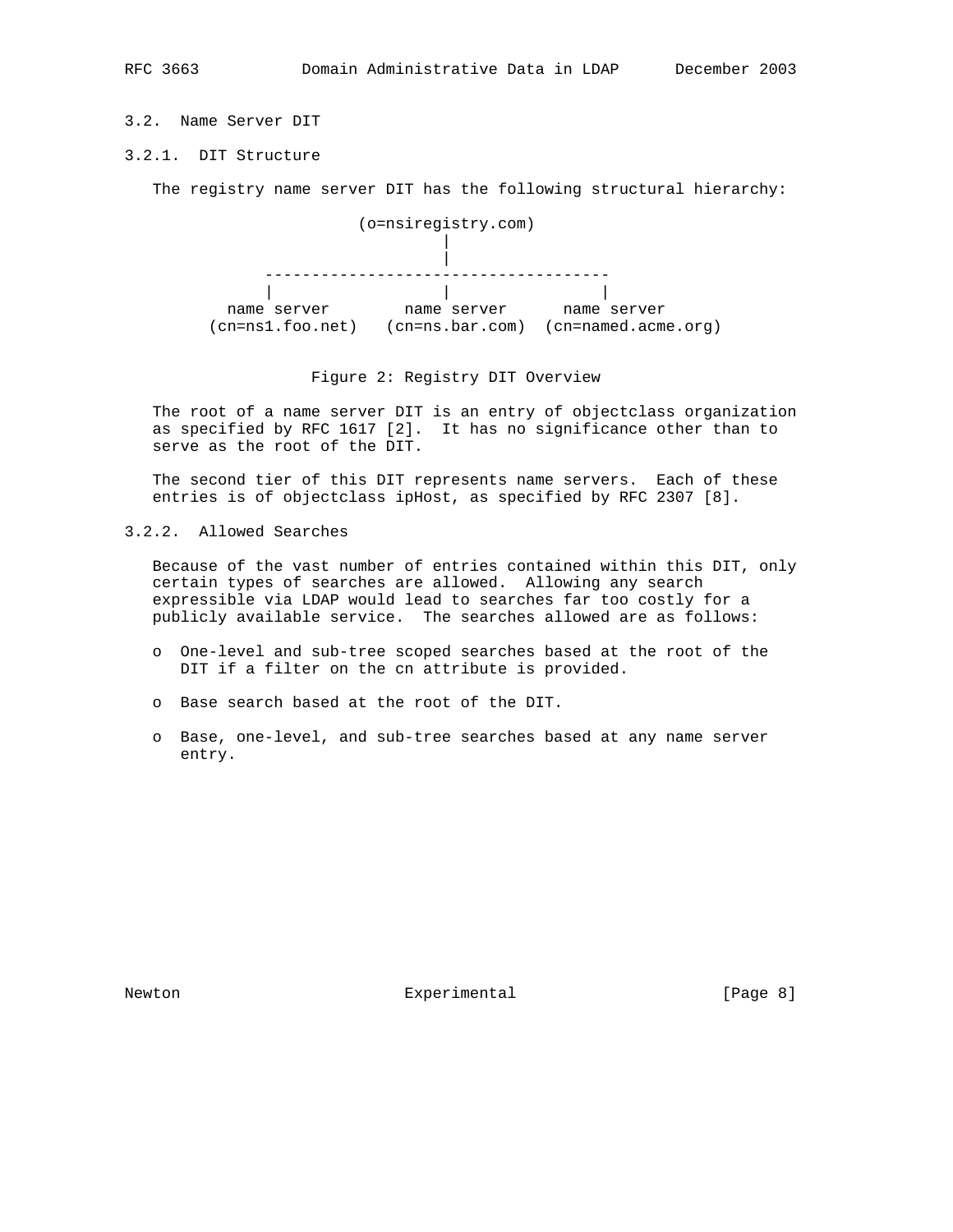# 3.2. Name Server DIT

# 3.2.1. DIT Structure

The registry name server DIT has the following structural hierarchy:



#### Figure 2: Registry DIT Overview

 The root of a name server DIT is an entry of objectclass organization as specified by RFC 1617 [2]. It has no significance other than to serve as the root of the DIT.

 The second tier of this DIT represents name servers. Each of these entries is of objectclass ipHost, as specified by RFC 2307 [8].

3.2.2. Allowed Searches

 Because of the vast number of entries contained within this DIT, only certain types of searches are allowed. Allowing any search expressible via LDAP would lead to searches far too costly for a publicly available service. The searches allowed are as follows:

- o One-level and sub-tree scoped searches based at the root of the DIT if a filter on the cn attribute is provided.
- o Base search based at the root of the DIT.
- o Base, one-level, and sub-tree searches based at any name server entry.

Newton **Experimental** Experimental [Page 8]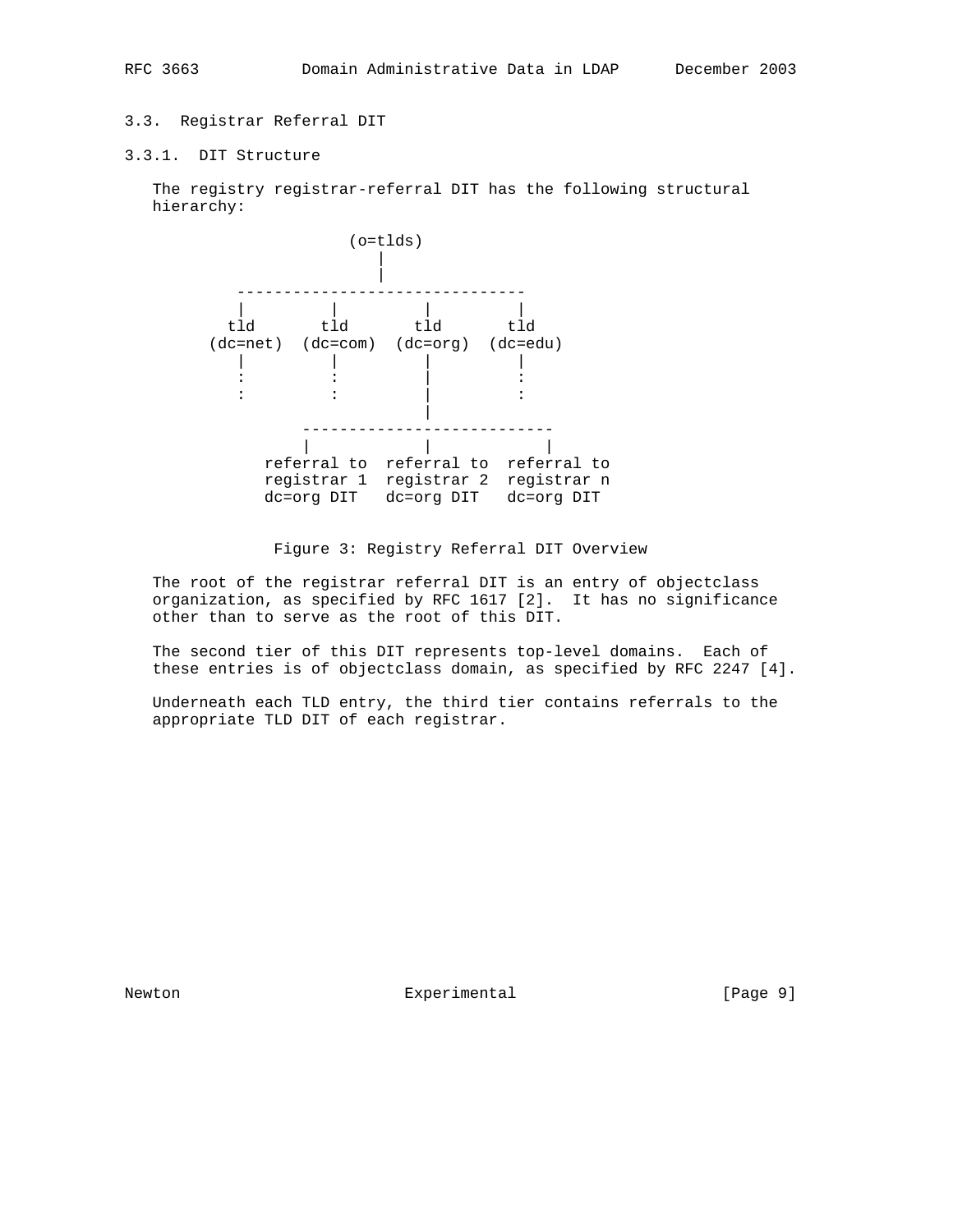# 3.3. Registrar Referral DIT

3.3.1. DIT Structure

 The registry registrar-referral DIT has the following structural hierarchy:



# Figure 3: Registry Referral DIT Overview

 The root of the registrar referral DIT is an entry of objectclass organization, as specified by RFC 1617 [2]. It has no significance other than to serve as the root of this DIT.

 The second tier of this DIT represents top-level domains. Each of these entries is of objectclass domain, as specified by RFC 2247 [4].

 Underneath each TLD entry, the third tier contains referrals to the appropriate TLD DIT of each registrar.

Newton **Experimental** Experimental [Page 9]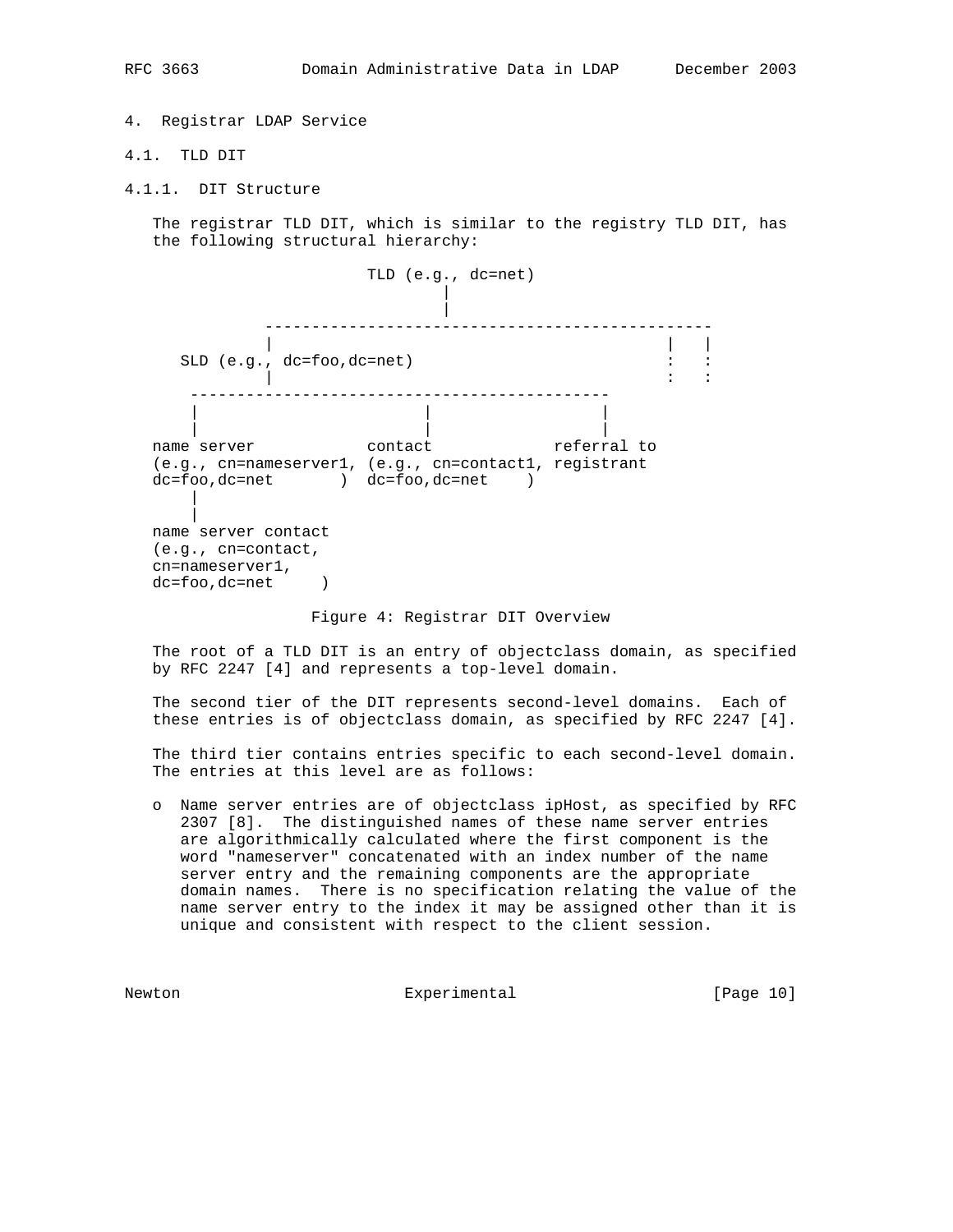4. Registrar LDAP Service

# 4.1. TLD DIT

4.1.1. DIT Structure

 The registrar TLD DIT, which is similar to the registry TLD DIT, has the following structural hierarchy:

 TLD (e.g., dc=net) | | ------------------------------------------------ | | | SLD (e.g., dc=foo,dc=net) : : : | : : --------------------------------------------- | | | | | | name server **contact** referral to (e.g., cn=nameserver1, (e.g., cn=contact1, registrant dc=foo,dc=net ) dc=foo,dc=net ) | | name server contact (e.g., cn=contact, cn=nameserver1, dc=foo,dc=net )

#### Figure 4: Registrar DIT Overview

 The root of a TLD DIT is an entry of objectclass domain, as specified by RFC 2247 [4] and represents a top-level domain.

 The second tier of the DIT represents second-level domains. Each of these entries is of objectclass domain, as specified by RFC 2247 [4].

 The third tier contains entries specific to each second-level domain. The entries at this level are as follows:

 o Name server entries are of objectclass ipHost, as specified by RFC 2307 [8]. The distinguished names of these name server entries are algorithmically calculated where the first component is the word "nameserver" concatenated with an index number of the name server entry and the remaining components are the appropriate domain names. There is no specification relating the value of the name server entry to the index it may be assigned other than it is unique and consistent with respect to the client session.

Newton Experimental [Page 10]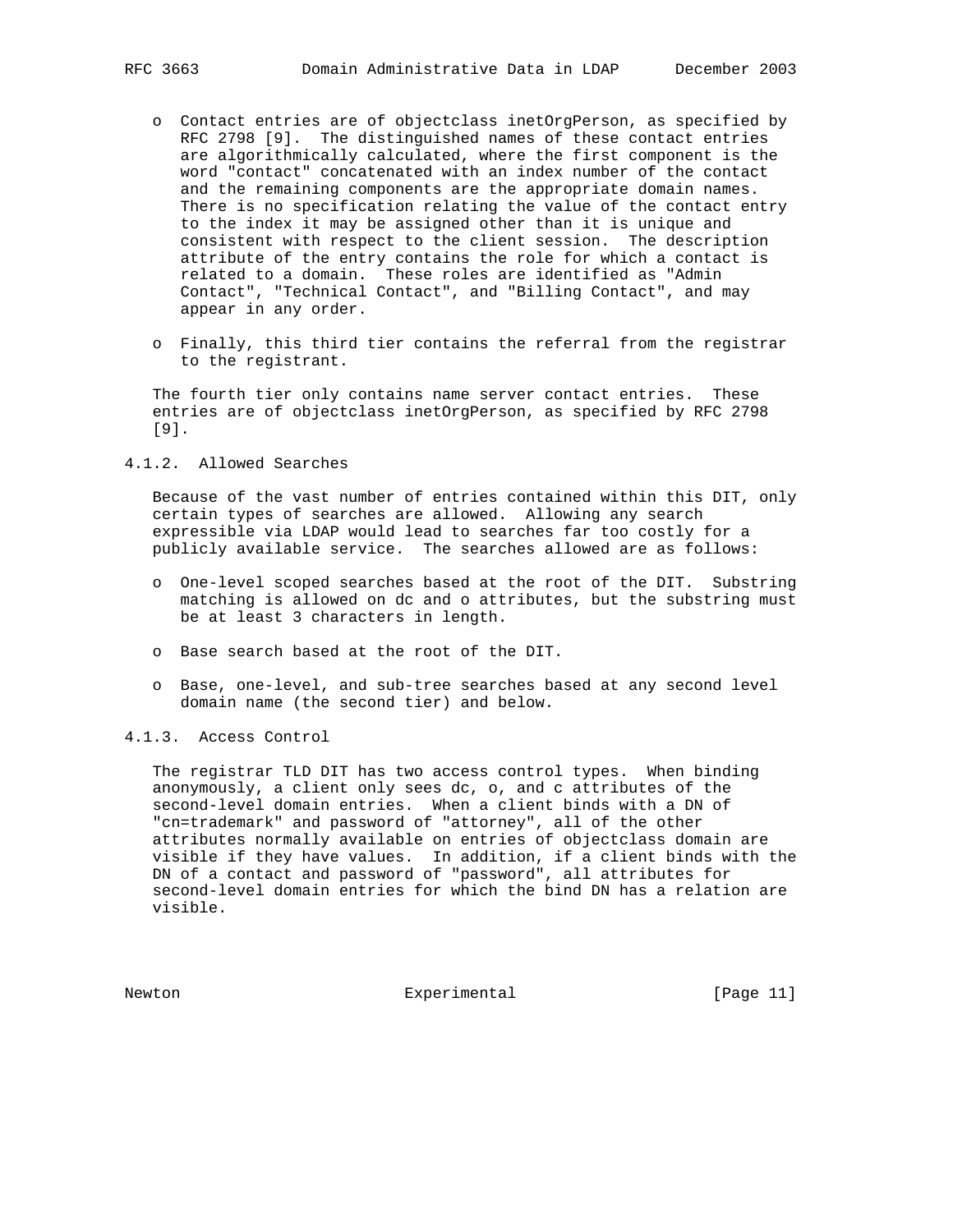- o Contact entries are of objectclass inetOrgPerson, as specified by RFC 2798 [9]. The distinguished names of these contact entries are algorithmically calculated, where the first component is the word "contact" concatenated with an index number of the contact and the remaining components are the appropriate domain names. There is no specification relating the value of the contact entry to the index it may be assigned other than it is unique and consistent with respect to the client session. The description attribute of the entry contains the role for which a contact is related to a domain. These roles are identified as "Admin Contact", "Technical Contact", and "Billing Contact", and may appear in any order.
- o Finally, this third tier contains the referral from the registrar to the registrant.

 The fourth tier only contains name server contact entries. These entries are of objectclass inetOrgPerson, as specified by RFC 2798 [9].

### 4.1.2. Allowed Searches

 Because of the vast number of entries contained within this DIT, only certain types of searches are allowed. Allowing any search expressible via LDAP would lead to searches far too costly for a publicly available service. The searches allowed are as follows:

- o One-level scoped searches based at the root of the DIT. Substring matching is allowed on dc and o attributes, but the substring must be at least 3 characters in length.
- o Base search based at the root of the DIT.
- o Base, one-level, and sub-tree searches based at any second level domain name (the second tier) and below.
- 4.1.3. Access Control

 The registrar TLD DIT has two access control types. When binding anonymously, a client only sees dc, o, and c attributes of the second-level domain entries. When a client binds with a DN of "cn=trademark" and password of "attorney", all of the other attributes normally available on entries of objectclass domain are visible if they have values. In addition, if a client binds with the DN of a contact and password of "password", all attributes for second-level domain entries for which the bind DN has a relation are visible.

Newton **Experimental** Experimental [Page 11]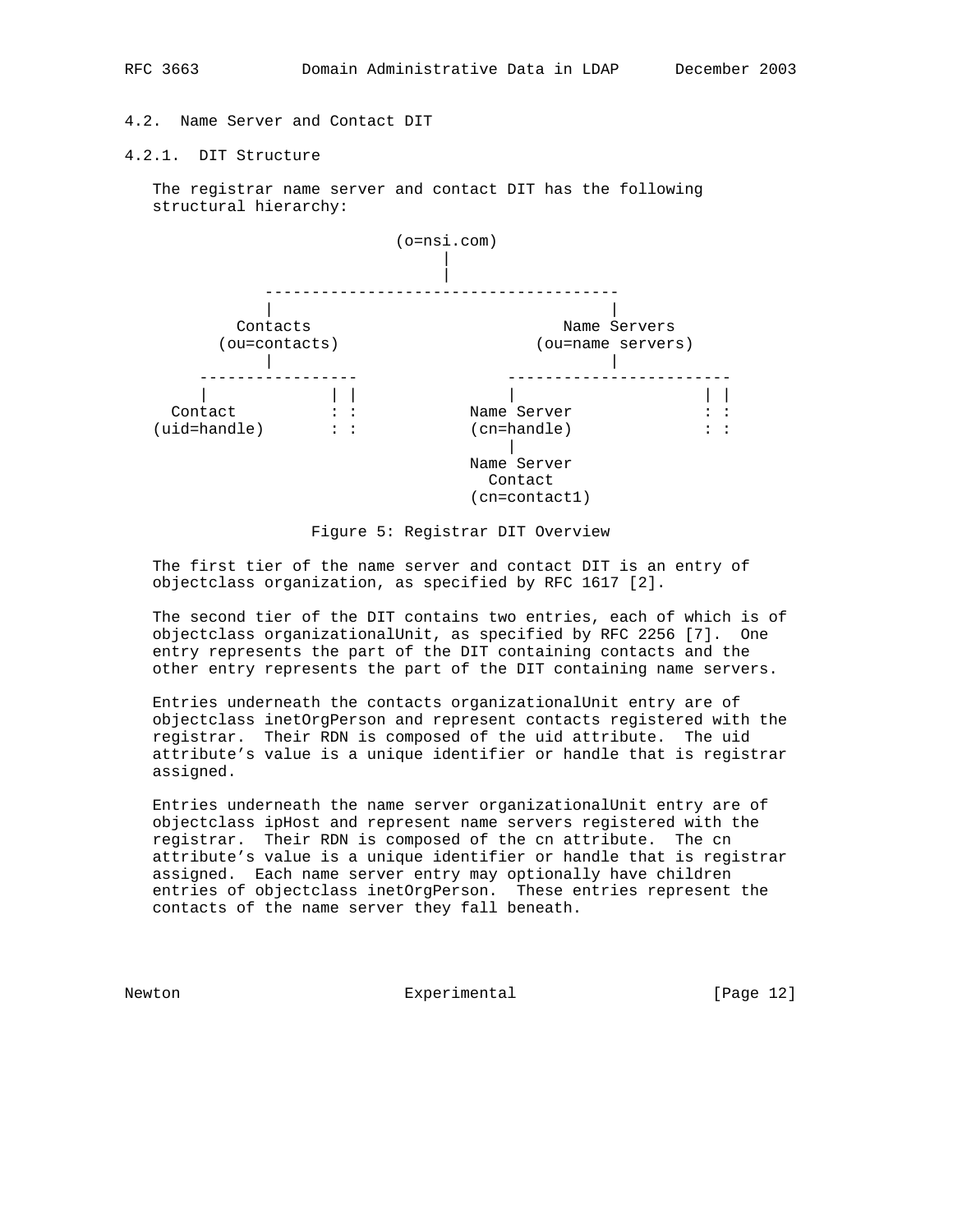4.2. Name Server and Contact DIT

4.2.1. DIT Structure

 The registrar name server and contact DIT has the following structural hierarchy:





 The first tier of the name server and contact DIT is an entry of objectclass organization, as specified by RFC 1617 [2].

 The second tier of the DIT contains two entries, each of which is of objectclass organizationalUnit, as specified by RFC 2256 [7]. One entry represents the part of the DIT containing contacts and the other entry represents the part of the DIT containing name servers.

 Entries underneath the contacts organizationalUnit entry are of objectclass inetOrgPerson and represent contacts registered with the registrar. Their RDN is composed of the uid attribute. The uid attribute's value is a unique identifier or handle that is registrar assigned.

 Entries underneath the name server organizationalUnit entry are of objectclass ipHost and represent name servers registered with the registrar. Their RDN is composed of the cn attribute. The cn attribute's value is a unique identifier or handle that is registrar assigned. Each name server entry may optionally have children entries of objectclass inetOrgPerson. These entries represent the contacts of the name server they fall beneath.

Newton **Experimental** Experimental [Page 12]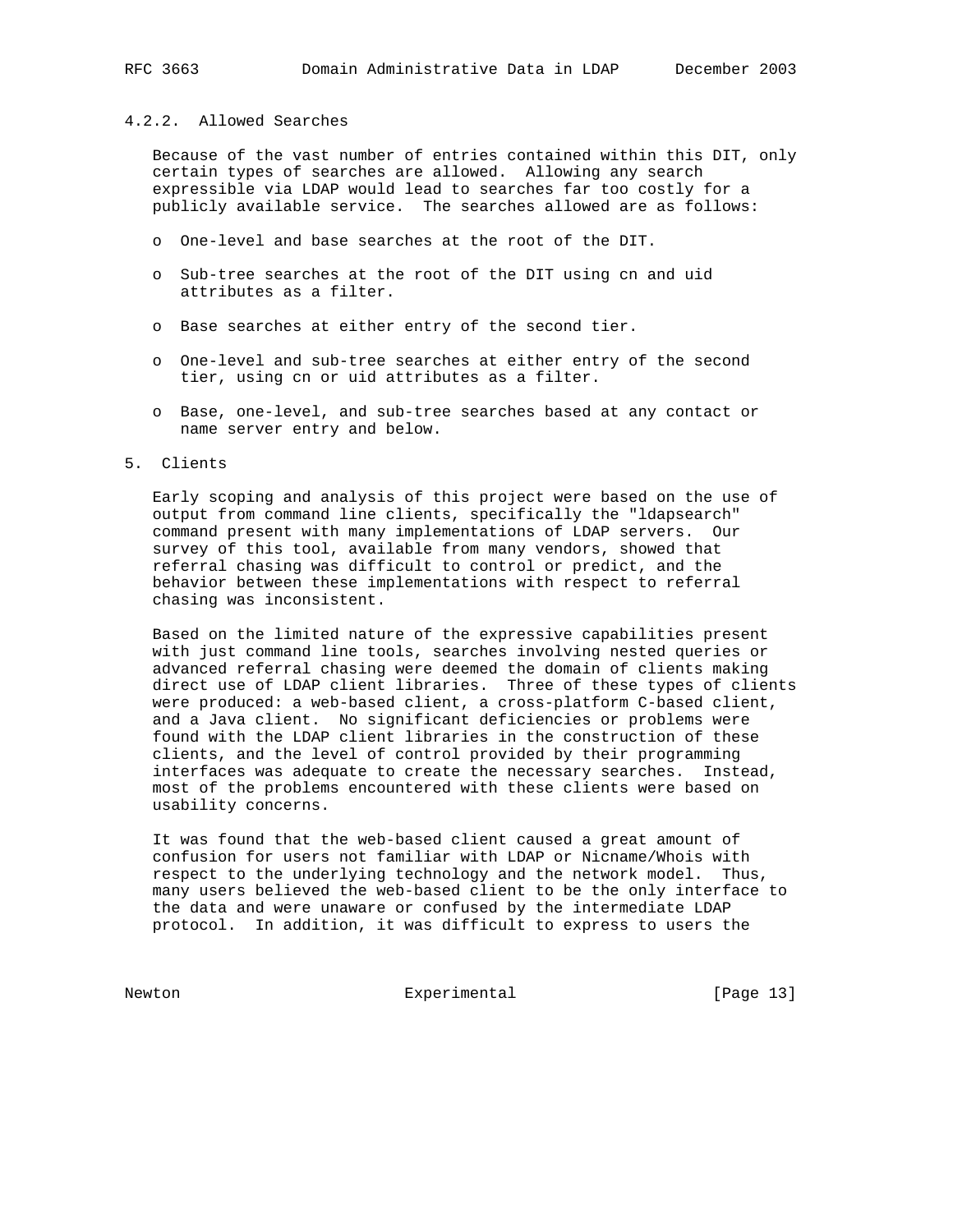### 4.2.2. Allowed Searches

 Because of the vast number of entries contained within this DIT, only certain types of searches are allowed. Allowing any search expressible via LDAP would lead to searches far too costly for a publicly available service. The searches allowed are as follows:

- o One-level and base searches at the root of the DIT.
- o Sub-tree searches at the root of the DIT using cn and uid attributes as a filter.
- o Base searches at either entry of the second tier.
- o One-level and sub-tree searches at either entry of the second tier, using cn or uid attributes as a filter.
- o Base, one-level, and sub-tree searches based at any contact or name server entry and below.

### 5. Clients

 Early scoping and analysis of this project were based on the use of output from command line clients, specifically the "ldapsearch" command present with many implementations of LDAP servers. Our survey of this tool, available from many vendors, showed that referral chasing was difficult to control or predict, and the behavior between these implementations with respect to referral chasing was inconsistent.

 Based on the limited nature of the expressive capabilities present with just command line tools, searches involving nested queries or advanced referral chasing were deemed the domain of clients making direct use of LDAP client libraries. Three of these types of clients were produced: a web-based client, a cross-platform C-based client, and a Java client. No significant deficiencies or problems were found with the LDAP client libraries in the construction of these clients, and the level of control provided by their programming interfaces was adequate to create the necessary searches. Instead, most of the problems encountered with these clients were based on usability concerns.

 It was found that the web-based client caused a great amount of confusion for users not familiar with LDAP or Nicname/Whois with respect to the underlying technology and the network model. Thus, many users believed the web-based client to be the only interface to the data and were unaware or confused by the intermediate LDAP protocol. In addition, it was difficult to express to users the

Newton Experimental [Page 13]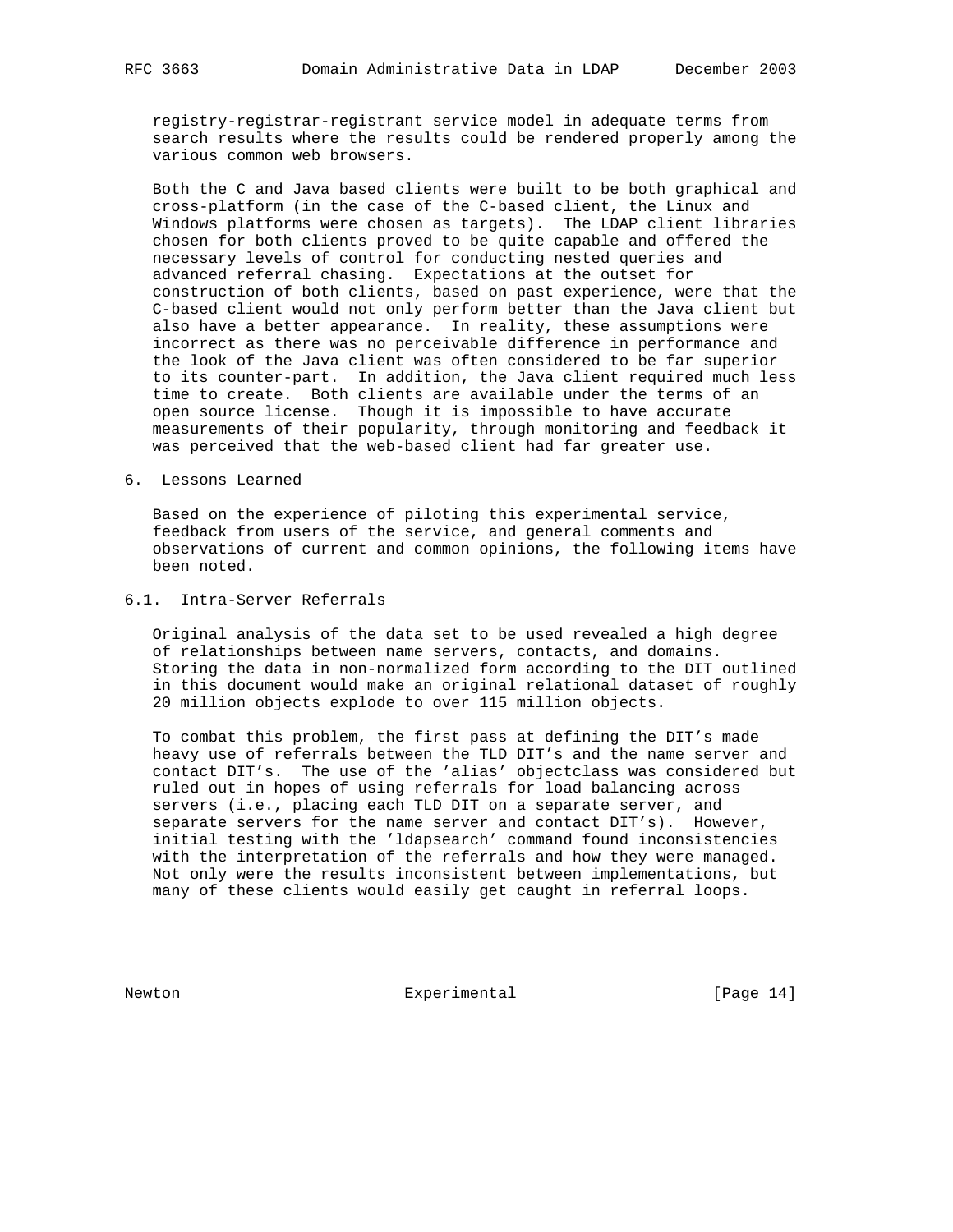registry-registrar-registrant service model in adequate terms from search results where the results could be rendered properly among the various common web browsers.

 Both the C and Java based clients were built to be both graphical and cross-platform (in the case of the C-based client, the Linux and Windows platforms were chosen as targets). The LDAP client libraries chosen for both clients proved to be quite capable and offered the necessary levels of control for conducting nested queries and advanced referral chasing. Expectations at the outset for construction of both clients, based on past experience, were that the C-based client would not only perform better than the Java client but also have a better appearance. In reality, these assumptions were incorrect as there was no perceivable difference in performance and the look of the Java client was often considered to be far superior to its counter-part. In addition, the Java client required much less time to create. Both clients are available under the terms of an open source license. Though it is impossible to have accurate measurements of their popularity, through monitoring and feedback it was perceived that the web-based client had far greater use.

6. Lessons Learned

 Based on the experience of piloting this experimental service, feedback from users of the service, and general comments and observations of current and common opinions, the following items have been noted.

# 6.1. Intra-Server Referrals

 Original analysis of the data set to be used revealed a high degree of relationships between name servers, contacts, and domains. Storing the data in non-normalized form according to the DIT outlined in this document would make an original relational dataset of roughly 20 million objects explode to over 115 million objects.

 To combat this problem, the first pass at defining the DIT's made heavy use of referrals between the TLD DIT's and the name server and contact DIT's. The use of the 'alias' objectclass was considered but ruled out in hopes of using referrals for load balancing across servers (i.e., placing each TLD DIT on a separate server, and separate servers for the name server and contact DIT's). However, initial testing with the 'ldapsearch' command found inconsistencies with the interpretation of the referrals and how they were managed. Not only were the results inconsistent between implementations, but many of these clients would easily get caught in referral loops.

Newton **Experimental** Experimental [Page 14]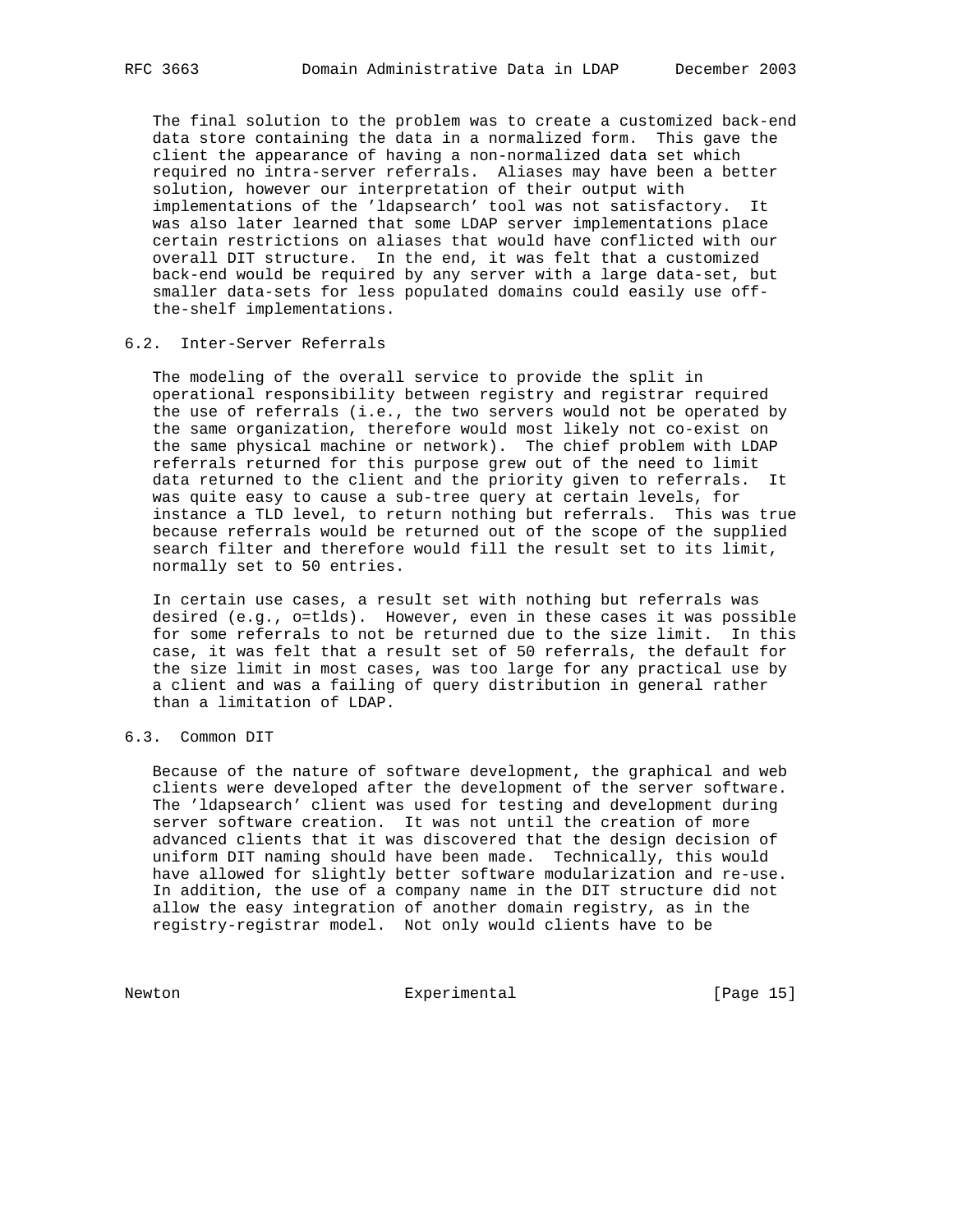The final solution to the problem was to create a customized back-end data store containing the data in a normalized form. This gave the client the appearance of having a non-normalized data set which required no intra-server referrals. Aliases may have been a better solution, however our interpretation of their output with implementations of the 'ldapsearch' tool was not satisfactory. It was also later learned that some LDAP server implementations place certain restrictions on aliases that would have conflicted with our overall DIT structure. In the end, it was felt that a customized back-end would be required by any server with a large data-set, but smaller data-sets for less populated domains could easily use off the-shelf implementations.

# 6.2. Inter-Server Referrals

 The modeling of the overall service to provide the split in operational responsibility between registry and registrar required the use of referrals (i.e., the two servers would not be operated by the same organization, therefore would most likely not co-exist on the same physical machine or network). The chief problem with LDAP referrals returned for this purpose grew out of the need to limit data returned to the client and the priority given to referrals. It was quite easy to cause a sub-tree query at certain levels, for instance a TLD level, to return nothing but referrals. This was true because referrals would be returned out of the scope of the supplied search filter and therefore would fill the result set to its limit, normally set to 50 entries.

 In certain use cases, a result set with nothing but referrals was desired (e.g., o=tlds). However, even in these cases it was possible for some referrals to not be returned due to the size limit. In this case, it was felt that a result set of 50 referrals, the default for the size limit in most cases, was too large for any practical use by a client and was a failing of query distribution in general rather than a limitation of LDAP.

# 6.3. Common DIT

 Because of the nature of software development, the graphical and web clients were developed after the development of the server software. The 'ldapsearch' client was used for testing and development during server software creation. It was not until the creation of more advanced clients that it was discovered that the design decision of uniform DIT naming should have been made. Technically, this would have allowed for slightly better software modularization and re-use. In addition, the use of a company name in the DIT structure did not allow the easy integration of another domain registry, as in the registry-registrar model. Not only would clients have to be

Newton Experimental [Page 15]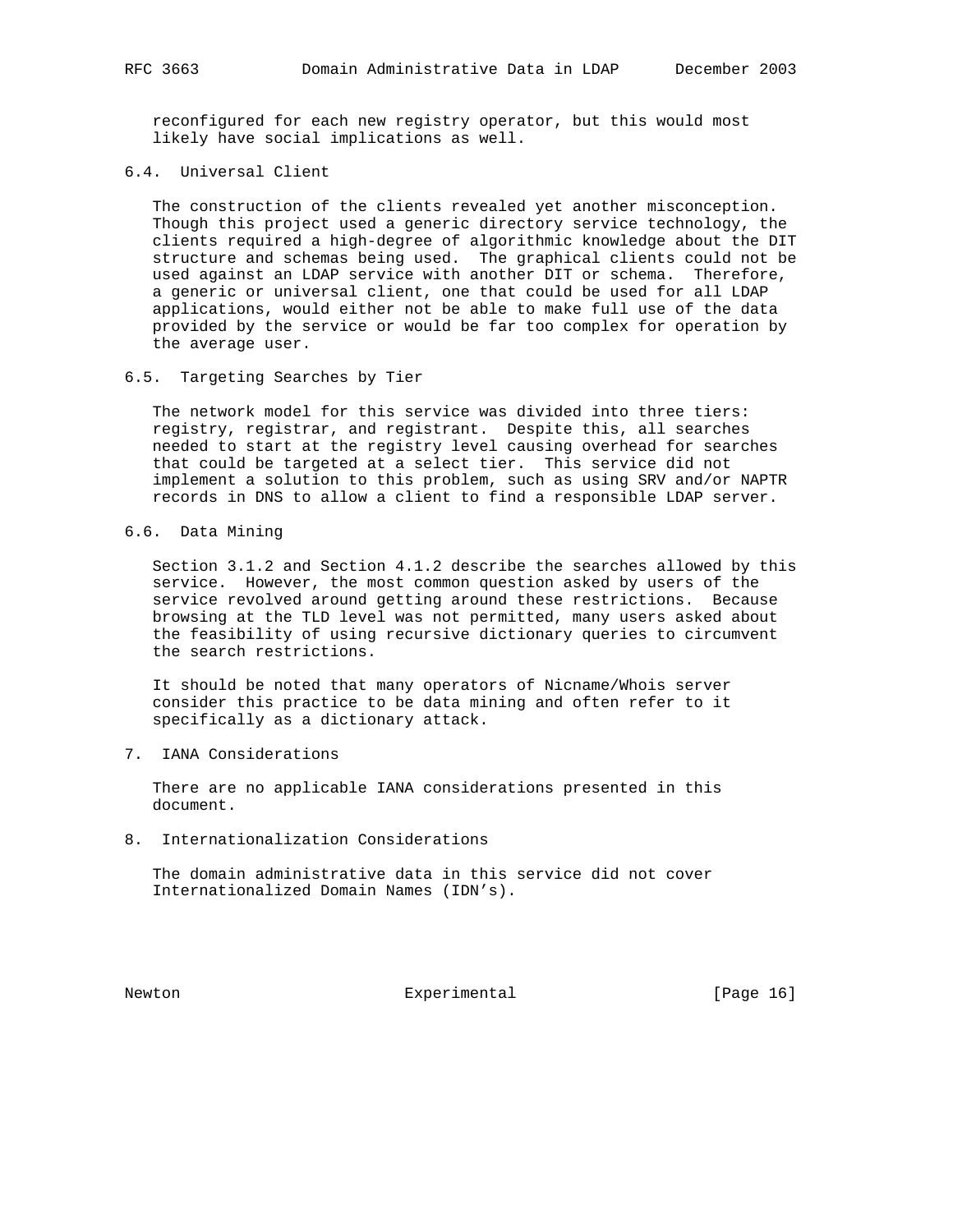reconfigured for each new registry operator, but this would most likely have social implications as well.

6.4. Universal Client

 The construction of the clients revealed yet another misconception. Though this project used a generic directory service technology, the clients required a high-degree of algorithmic knowledge about the DIT structure and schemas being used. The graphical clients could not be used against an LDAP service with another DIT or schema. Therefore, a generic or universal client, one that could be used for all LDAP applications, would either not be able to make full use of the data provided by the service or would be far too complex for operation by the average user.

6.5. Targeting Searches by Tier

 The network model for this service was divided into three tiers: registry, registrar, and registrant. Despite this, all searches needed to start at the registry level causing overhead for searches that could be targeted at a select tier. This service did not implement a solution to this problem, such as using SRV and/or NAPTR records in DNS to allow a client to find a responsible LDAP server.

6.6. Data Mining

 Section 3.1.2 and Section 4.1.2 describe the searches allowed by this service. However, the most common question asked by users of the service revolved around getting around these restrictions. Because browsing at the TLD level was not permitted, many users asked about the feasibility of using recursive dictionary queries to circumvent the search restrictions.

 It should be noted that many operators of Nicname/Whois server consider this practice to be data mining and often refer to it specifically as a dictionary attack.

7. IANA Considerations

 There are no applicable IANA considerations presented in this document.

8. Internationalization Considerations

 The domain administrative data in this service did not cover Internationalized Domain Names (IDN's).

Newton **Experimental** Experimental [Page 16]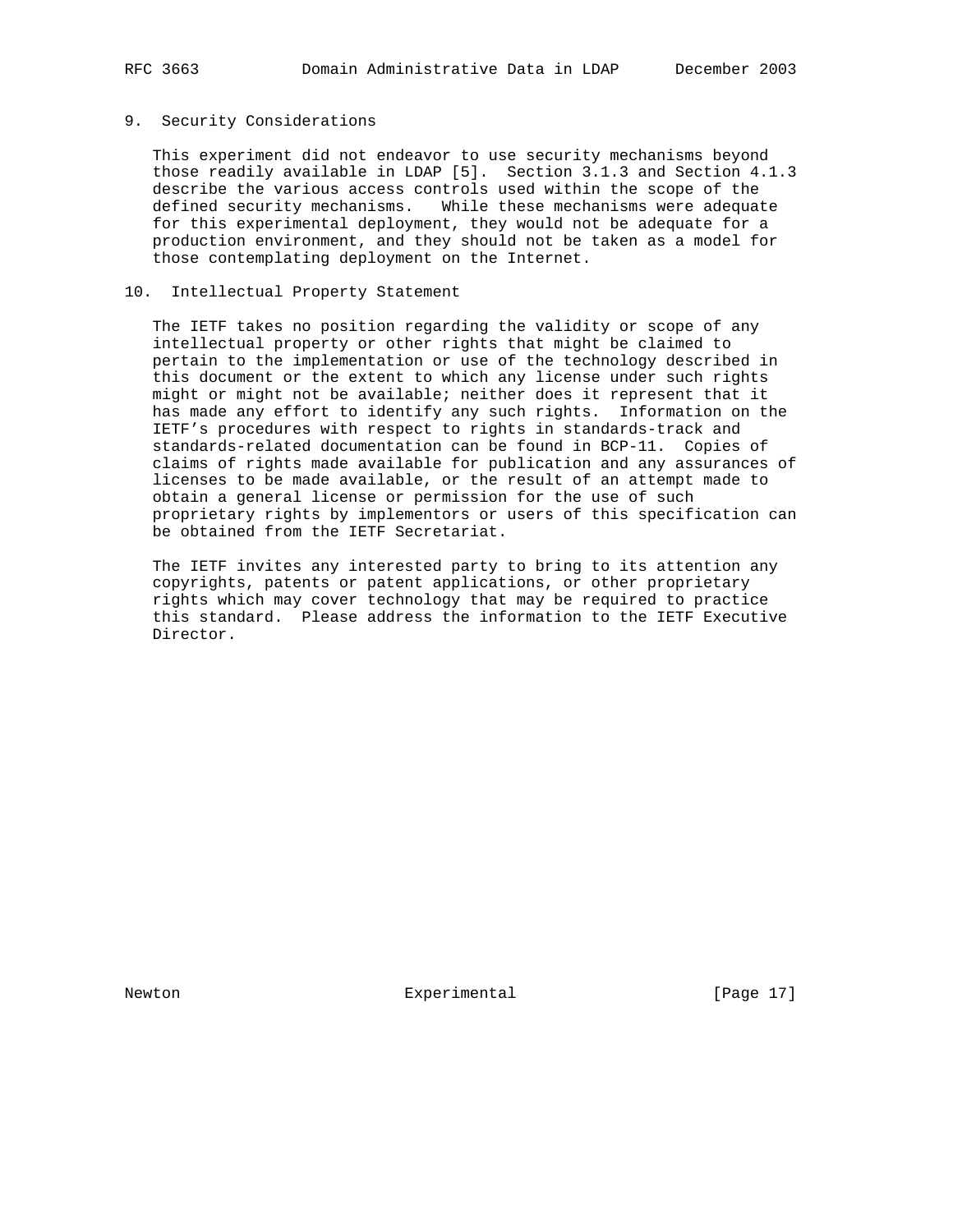## 9. Security Considerations

 This experiment did not endeavor to use security mechanisms beyond those readily available in LDAP [5]. Section 3.1.3 and Section 4.1.3 describe the various access controls used within the scope of the defined security mechanisms. While these mechanisms were adequate for this experimental deployment, they would not be adequate for a production environment, and they should not be taken as a model for those contemplating deployment on the Internet.

### 10. Intellectual Property Statement

 The IETF takes no position regarding the validity or scope of any intellectual property or other rights that might be claimed to pertain to the implementation or use of the technology described in this document or the extent to which any license under such rights might or might not be available; neither does it represent that it has made any effort to identify any such rights. Information on the IETF's procedures with respect to rights in standards-track and standards-related documentation can be found in BCP-11. Copies of claims of rights made available for publication and any assurances of licenses to be made available, or the result of an attempt made to obtain a general license or permission for the use of such proprietary rights by implementors or users of this specification can be obtained from the IETF Secretariat.

 The IETF invites any interested party to bring to its attention any copyrights, patents or patent applications, or other proprietary rights which may cover technology that may be required to practice this standard. Please address the information to the IETF Executive Director.

Newton **Experimental** Experimental [Page 17]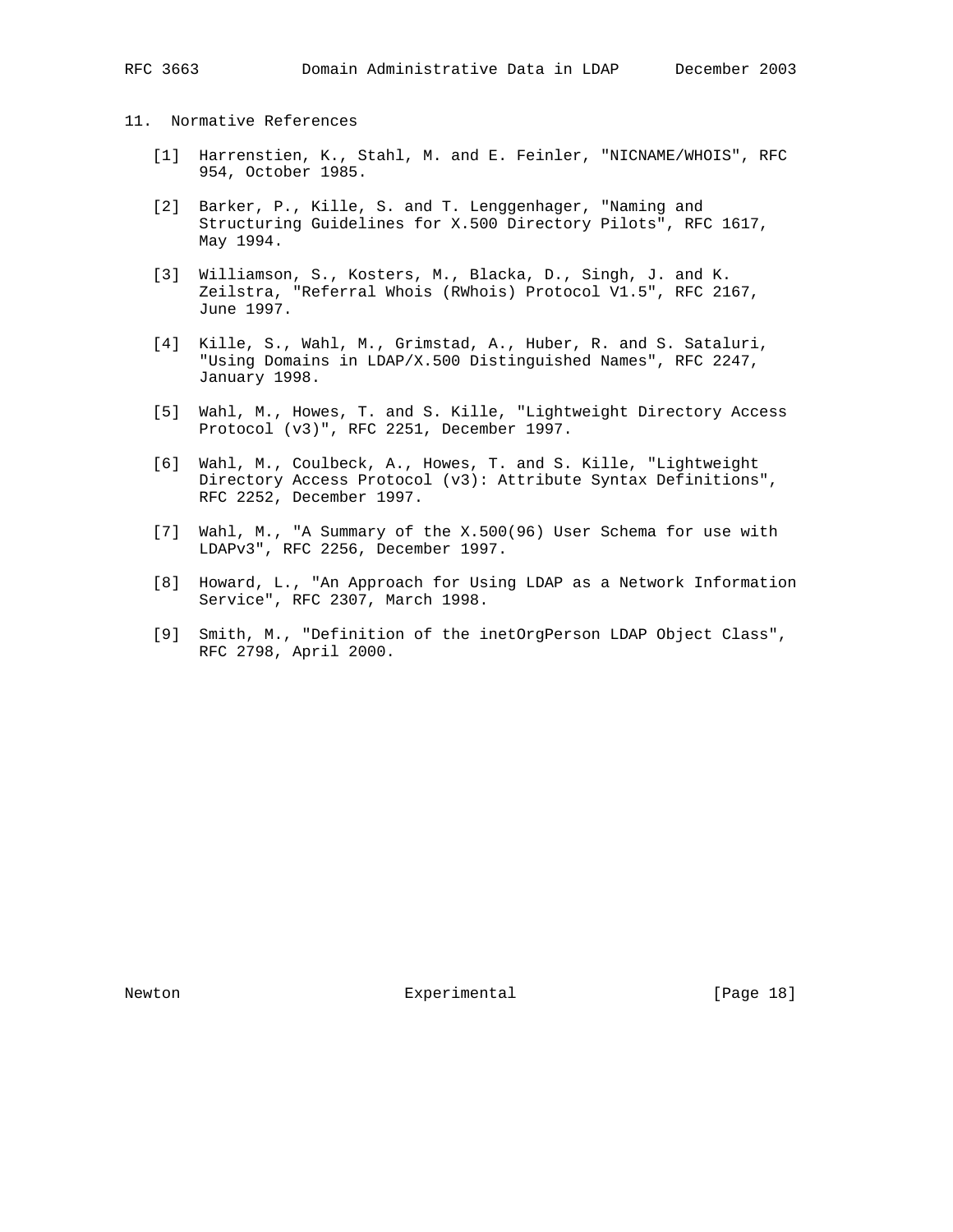# 11. Normative References

- [1] Harrenstien, K., Stahl, M. and E. Feinler, "NICNAME/WHOIS", RFC 954, October 1985.
- [2] Barker, P., Kille, S. and T. Lenggenhager, "Naming and Structuring Guidelines for X.500 Directory Pilots", RFC 1617, May 1994.
- [3] Williamson, S., Kosters, M., Blacka, D., Singh, J. and K. Zeilstra, "Referral Whois (RWhois) Protocol V1.5", RFC 2167, June 1997.
- [4] Kille, S., Wahl, M., Grimstad, A., Huber, R. and S. Sataluri, "Using Domains in LDAP/X.500 Distinguished Names", RFC 2247, January 1998.
- [5] Wahl, M., Howes, T. and S. Kille, "Lightweight Directory Access Protocol (v3)", RFC 2251, December 1997.
- [6] Wahl, M., Coulbeck, A., Howes, T. and S. Kille, "Lightweight Directory Access Protocol (v3): Attribute Syntax Definitions", RFC 2252, December 1997.
- [7] Wahl, M., "A Summary of the X.500(96) User Schema for use with LDAPv3", RFC 2256, December 1997.
- [8] Howard, L., "An Approach for Using LDAP as a Network Information Service", RFC 2307, March 1998.
- [9] Smith, M., "Definition of the inetOrgPerson LDAP Object Class", RFC 2798, April 2000.

Newton **Experimental** Experimental [Page 18]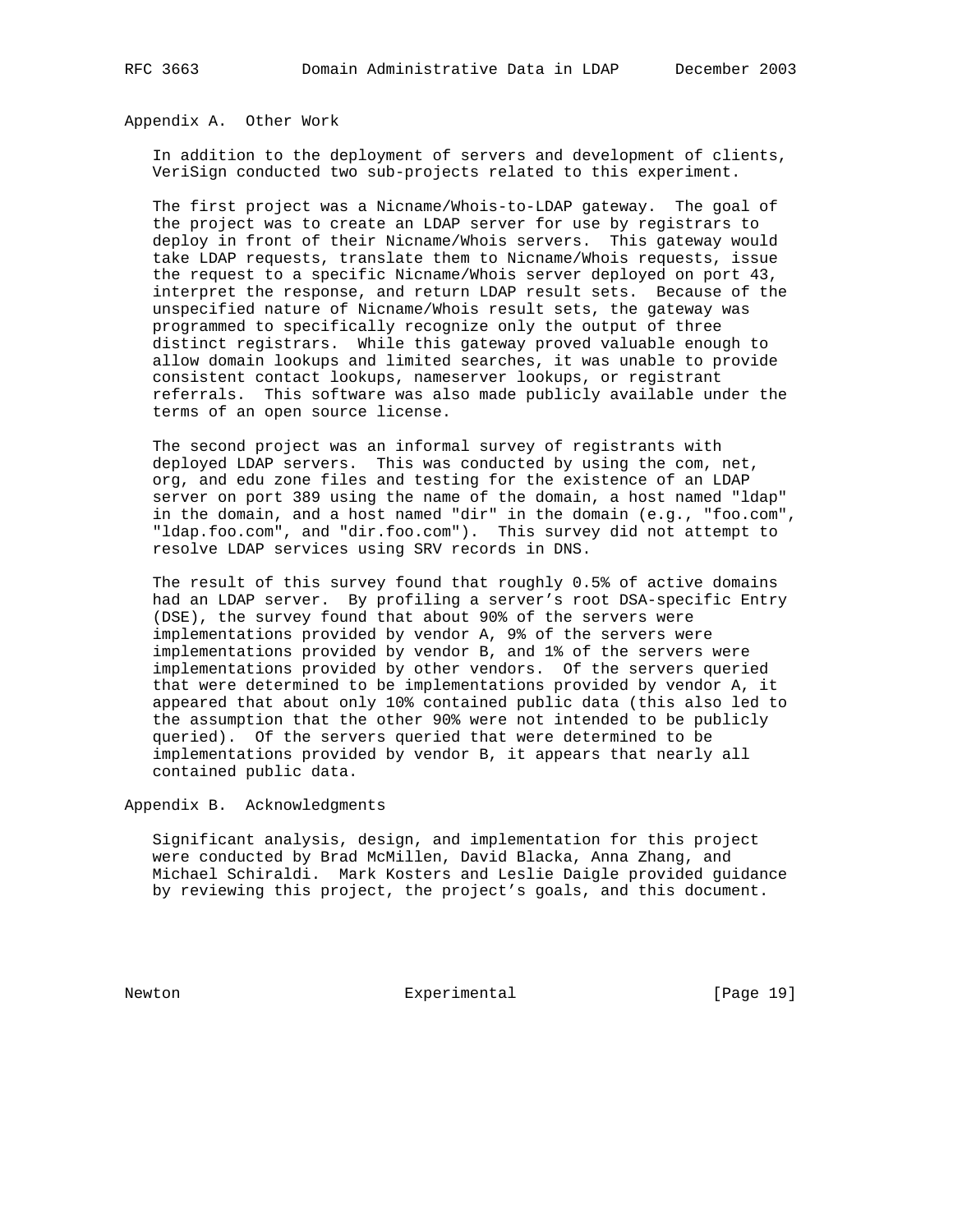Appendix A. Other Work

 In addition to the deployment of servers and development of clients, VeriSign conducted two sub-projects related to this experiment.

 The first project was a Nicname/Whois-to-LDAP gateway. The goal of the project was to create an LDAP server for use by registrars to deploy in front of their Nicname/Whois servers. This gateway would take LDAP requests, translate them to Nicname/Whois requests, issue the request to a specific Nicname/Whois server deployed on port 43, interpret the response, and return LDAP result sets. Because of the unspecified nature of Nicname/Whois result sets, the gateway was programmed to specifically recognize only the output of three distinct registrars. While this gateway proved valuable enough to allow domain lookups and limited searches, it was unable to provide consistent contact lookups, nameserver lookups, or registrant referrals. This software was also made publicly available under the terms of an open source license.

 The second project was an informal survey of registrants with deployed LDAP servers. This was conducted by using the com, net, org, and edu zone files and testing for the existence of an LDAP server on port 389 using the name of the domain, a host named "ldap" in the domain, and a host named "dir" in the domain (e.g., "foo.com", "ldap.foo.com", and "dir.foo.com"). This survey did not attempt to resolve LDAP services using SRV records in DNS.

 The result of this survey found that roughly 0.5% of active domains had an LDAP server. By profiling a server's root DSA-specific Entry (DSE), the survey found that about 90% of the servers were implementations provided by vendor A, 9% of the servers were implementations provided by vendor B, and 1% of the servers were implementations provided by other vendors. Of the servers queried that were determined to be implementations provided by vendor A, it appeared that about only 10% contained public data (this also led to the assumption that the other 90% were not intended to be publicly queried). Of the servers queried that were determined to be implementations provided by vendor B, it appears that nearly all contained public data.

Appendix B. Acknowledgments

 Significant analysis, design, and implementation for this project were conducted by Brad McMillen, David Blacka, Anna Zhang, and Michael Schiraldi. Mark Kosters and Leslie Daigle provided guidance by reviewing this project, the project's goals, and this document.

Newton **Experimental** Experimental [Page 19]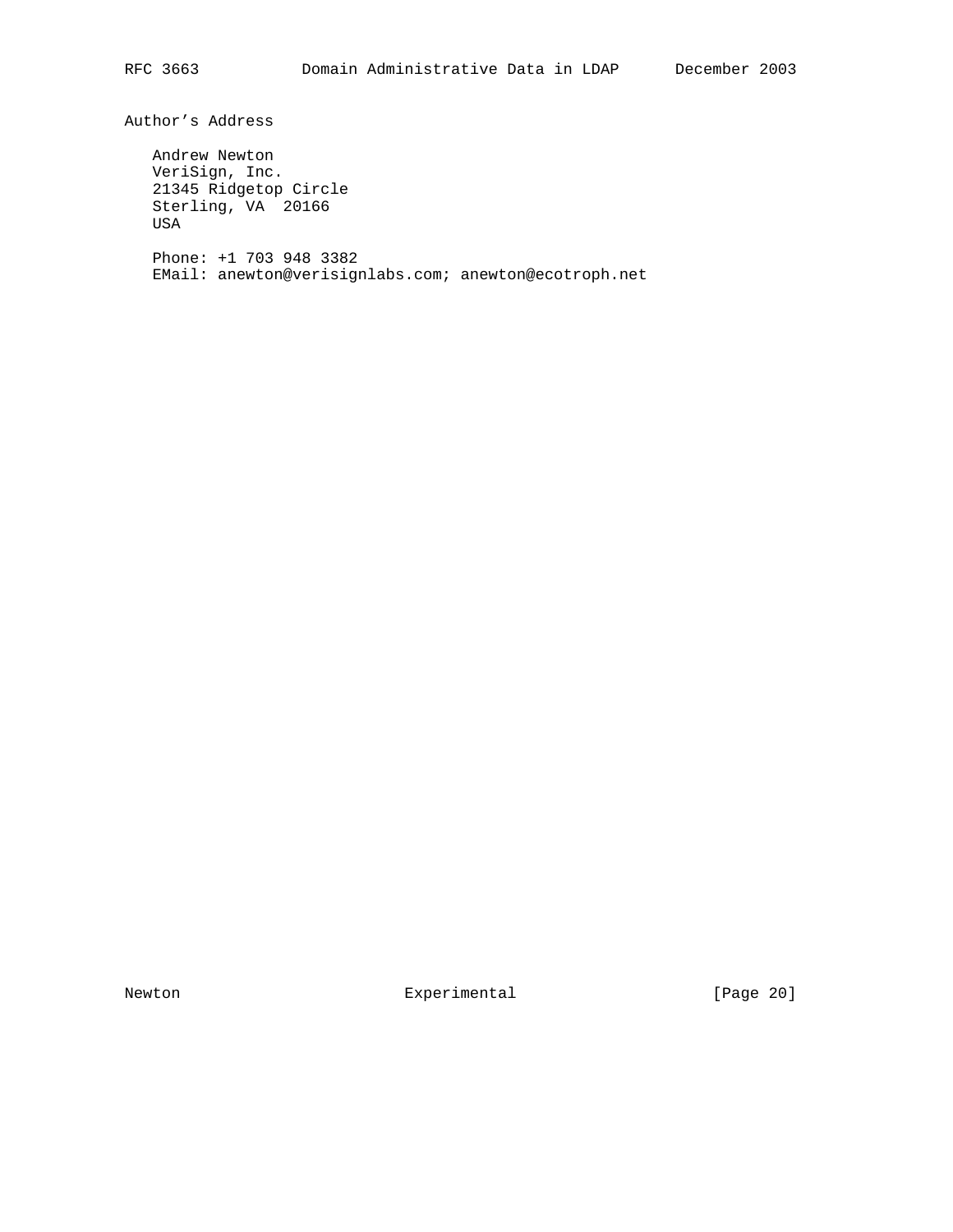Author's Address

 Andrew Newton VeriSign, Inc. 21345 Ridgetop Circle Sterling, VA 20166 USA Phone: +1 703 948 3382 EMail: anewton@verisignlabs.com; anewton@ecotroph.net

Newton Experimental Experimental [Page 20]